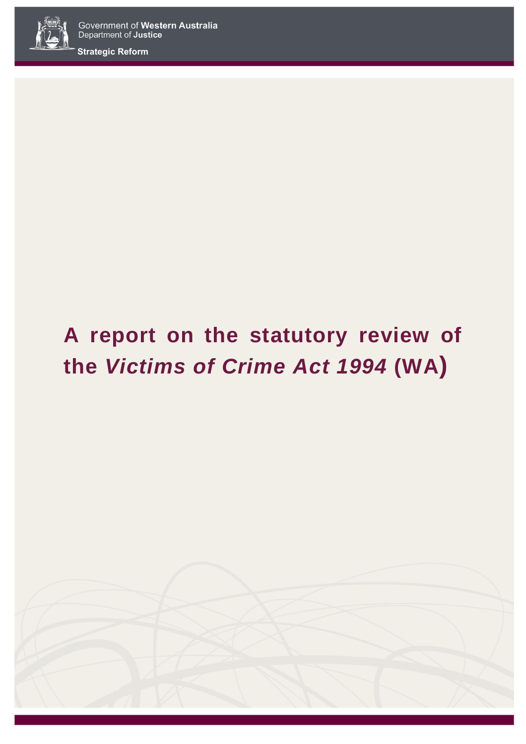

**Strategic Reform**

# **A report on the statutory review of the** *Victims of Crime Act 1994* **(WA)**

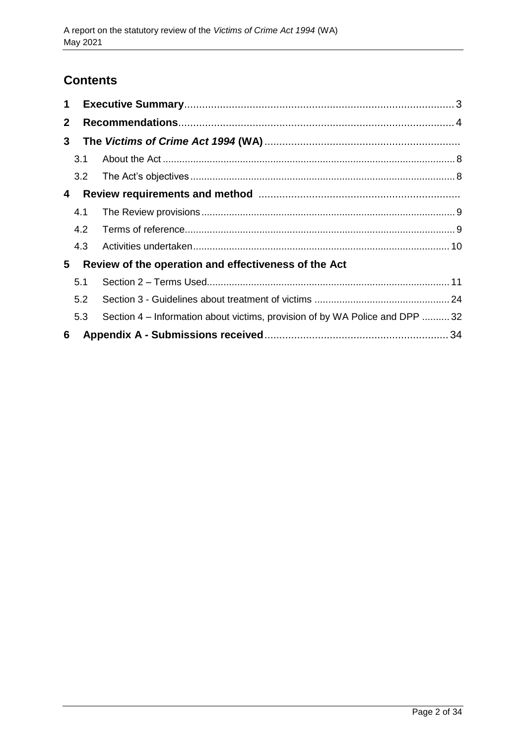# **Contents**

| 1            |     |                                                                             |  |
|--------------|-----|-----------------------------------------------------------------------------|--|
| $\mathbf{2}$ |     |                                                                             |  |
| 3            |     |                                                                             |  |
|              | 3.1 |                                                                             |  |
|              |     |                                                                             |  |
| 4            |     |                                                                             |  |
|              | 4.1 |                                                                             |  |
|              | 4.2 |                                                                             |  |
|              | 4.3 |                                                                             |  |
| 5            |     | Review of the operation and effectiveness of the Act                        |  |
|              | 5.1 |                                                                             |  |
|              | 5.2 |                                                                             |  |
|              | 5.3 | Section 4 – Information about victims, provision of by WA Police and DPP 32 |  |
| 6            |     |                                                                             |  |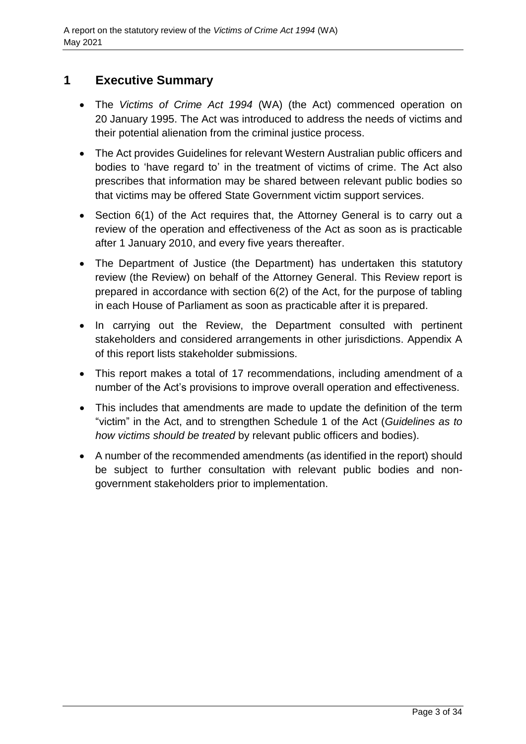# <span id="page-2-0"></span>**1 Executive Summary**

- The *Victims of Crime Act 1994* (WA) (the Act) commenced operation on 20 January 1995. The Act was introduced to address the needs of victims and their potential alienation from the criminal justice process.
- The Act provides Guidelines for relevant Western Australian public officers and bodies to 'have regard to' in the treatment of victims of crime. The Act also prescribes that information may be shared between relevant public bodies so that victims may be offered State Government victim support services.
- Section 6(1) of the Act requires that, the Attorney General is to carry out a review of the operation and effectiveness of the Act as soon as is practicable after 1 January 2010, and every five years thereafter.
- The Department of Justice (the Department) has undertaken this statutory review (the Review) on behalf of the Attorney General. This Review report is prepared in accordance with section 6(2) of the Act, for the purpose of tabling in each House of Parliament as soon as practicable after it is prepared.
- In carrying out the Review, the Department consulted with pertinent stakeholders and considered arrangements in other jurisdictions. Appendix A of this report lists stakeholder submissions.
- This report makes a total of 17 recommendations, including amendment of a number of the Act's provisions to improve overall operation and effectiveness.
- This includes that amendments are made to update the definition of the term "victim" in the Act, and to strengthen Schedule 1 of the Act (*Guidelines as to how victims should be treated* by relevant public officers and bodies).
- A number of the recommended amendments (as identified in the report) should be subject to further consultation with relevant public bodies and nongovernment stakeholders prior to implementation.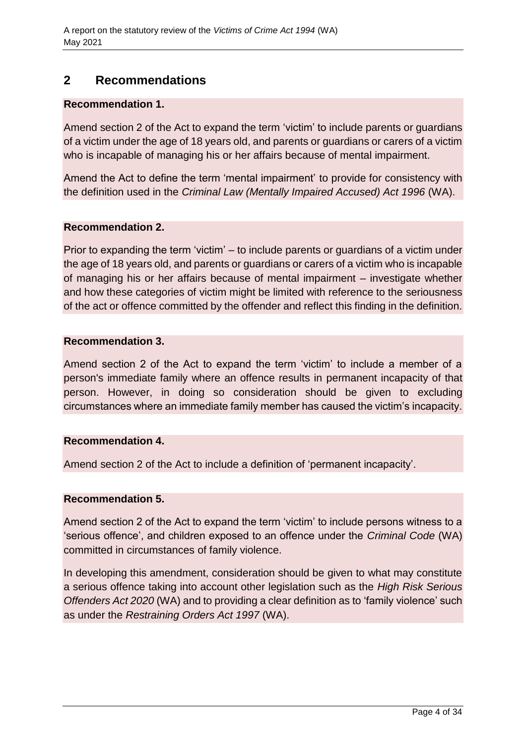# <span id="page-3-0"></span>**2 Recommendations**

## **Recommendation 1.**

Amend section 2 of the Act to expand the term 'victim' to include parents or guardians of a victim under the age of 18 years old, and parents or guardians or carers of a victim who is incapable of managing his or her affairs because of mental impairment.

Amend the Act to define the term 'mental impairment' to provide for consistency with the definition used in the *Criminal Law (Mentally Impaired Accused) Act 1996* (WA).

## **Recommendation 2.**

Prior to expanding the term 'victim' – to include parents or guardians of a victim under the age of 18 years old, and parents or guardians or carers of a victim who is incapable of managing his or her affairs because of mental impairment – investigate whether and how these categories of victim might be limited with reference to the seriousness of the act or offence committed by the offender and reflect this finding in the definition.

## **Recommendation 3.**

Amend section 2 of the Act to expand the term 'victim' to include a member of a person's immediate family where an offence results in permanent incapacity of that person. However, in doing so consideration should be given to excluding circumstances where an immediate family member has caused the victim's incapacity.

## **Recommendation 4.**

Amend section 2 of the Act to include a definition of 'permanent incapacity'.

## **Recommendation 5.**

Amend section 2 of the Act to expand the term 'victim' to include persons witness to a 'serious offence', and children exposed to an offence under the *Criminal Code* (WA) committed in circumstances of family violence.

In developing this amendment, consideration should be given to what may constitute a serious offence taking into account other legislation such as the *High Risk Serious Offenders Act 2020* (WA) and to providing a clear definition as to 'family violence' such as under the *Restraining Orders Act 1997* (WA).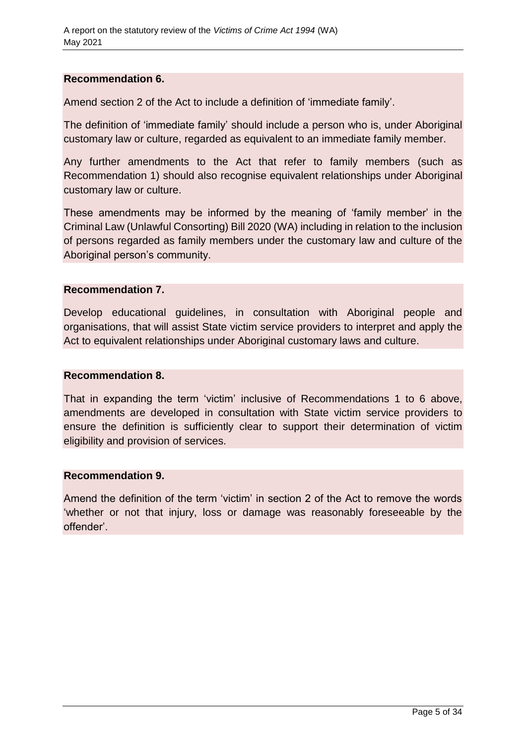#### **Recommendation 6.**

Amend section 2 of the Act to include a definition of 'immediate family'.

The definition of 'immediate family' should include a person who is, under Aboriginal customary law or culture, regarded as equivalent to an immediate family member.

Any further amendments to the Act that refer to family members (such as Recommendation 1) should also recognise equivalent relationships under Aboriginal customary law or culture.

These amendments may be informed by the meaning of 'family member' in the Criminal Law (Unlawful Consorting) Bill 2020 (WA) including in relation to the inclusion of persons regarded as family members under the customary law and culture of the Aboriginal person's community.

#### **Recommendation 7.**

Develop educational guidelines, in consultation with Aboriginal people and organisations, that will assist State victim service providers to interpret and apply the Act to equivalent relationships under Aboriginal customary laws and culture.

#### **Recommendation 8.**

That in expanding the term 'victim' inclusive of Recommendations 1 to 6 above, amendments are developed in consultation with State victim service providers to ensure the definition is sufficiently clear to support their determination of victim eligibility and provision of services.

#### **Recommendation 9.**

Amend the definition of the term 'victim' in section 2 of the Act to remove the words 'whether or not that injury, loss or damage was reasonably foreseeable by the offender'.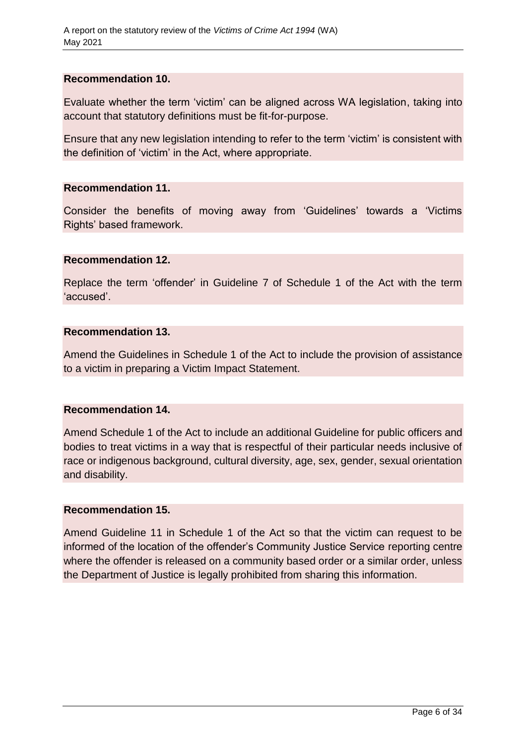#### **Recommendation 10.**

Evaluate whether the term 'victim' can be aligned across WA legislation, taking into account that statutory definitions must be fit-for-purpose.

Ensure that any new legislation intending to refer to the term 'victim' is consistent with the definition of 'victim' in the Act, where appropriate.

#### **Recommendation 11.**

Consider the benefits of moving away from 'Guidelines' towards a 'Victims Rights' based framework.

#### **Recommendation 12.**

Replace the term 'offender' in Guideline 7 of Schedule 1 of the Act with the term 'accused'.

#### **Recommendation 13.**

Amend the Guidelines in Schedule 1 of the Act to include the provision of assistance to a victim in preparing a Victim Impact Statement.

## **Recommendation 14.**

Amend Schedule 1 of the Act to include an additional Guideline for public officers and bodies to treat victims in a way that is respectful of their particular needs inclusive of race or indigenous background, cultural diversity, age, sex, gender, sexual orientation and disability.

#### **Recommendation 15.**

Amend Guideline 11 in Schedule 1 of the Act so that the victim can request to be informed of the location of the offender's Community Justice Service reporting centre where the offender is released on a community based order or a similar order, unless the Department of Justice is legally prohibited from sharing this information.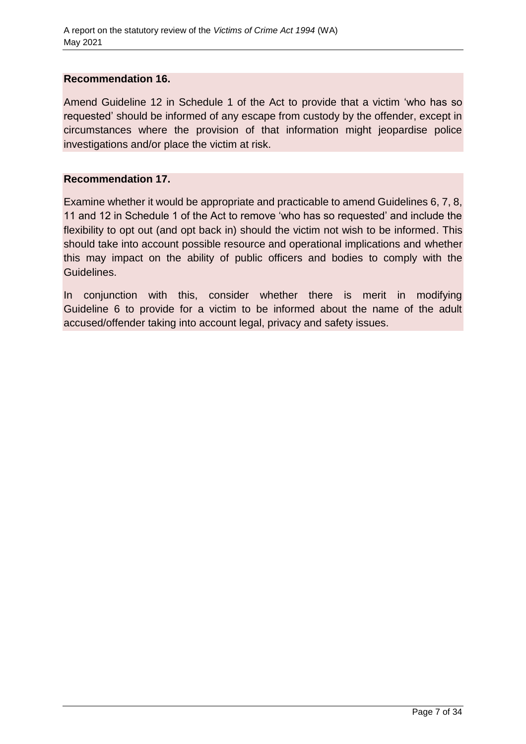#### **Recommendation 16.**

Amend Guideline 12 in Schedule 1 of the Act to provide that a victim 'who has so requested' should be informed of any escape from custody by the offender, except in circumstances where the provision of that information might jeopardise police investigations and/or place the victim at risk.

#### **Recommendation 17.**

Examine whether it would be appropriate and practicable to amend Guidelines 6, 7, 8, 11 and 12 in Schedule 1 of the Act to remove 'who has so requested' and include the flexibility to opt out (and opt back in) should the victim not wish to be informed. This should take into account possible resource and operational implications and whether this may impact on the ability of public officers and bodies to comply with the Guidelines.

In conjunction with this, consider whether there is merit in modifying Guideline 6 to provide for a victim to be informed about the name of the adult accused/offender taking into account legal, privacy and safety issues.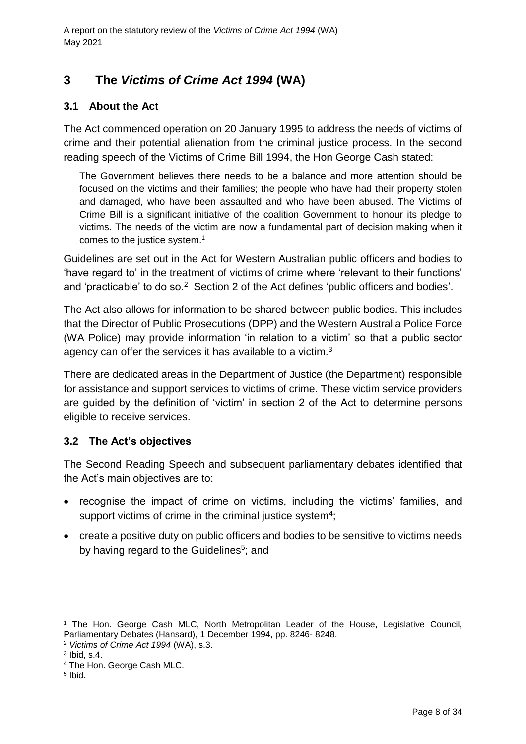# <span id="page-7-0"></span>**3 The** *Victims of Crime Act 1994* **(WA)**

## <span id="page-7-1"></span>**3.1 About the Act**

The Act commenced operation on 20 January 1995 to address the needs of victims of crime and their potential alienation from the criminal justice process. In the second reading speech of the Victims of Crime Bill 1994, the Hon George Cash stated:

The Government believes there needs to be a balance and more attention should be focused on the victims and their families; the people who have had their property stolen and damaged, who have been assaulted and who have been abused. The Victims of Crime Bill is a significant initiative of the coalition Government to honour its pledge to victims. The needs of the victim are now a fundamental part of decision making when it comes to the justice system. 1

Guidelines are set out in the Act for Western Australian public officers and bodies to 'have regard to' in the treatment of victims of crime where 'relevant to their functions' and 'practicable' to do so.<sup>2</sup> Section 2 of the Act defines 'public officers and bodies'.

The Act also allows for information to be shared between public bodies. This includes that the Director of Public Prosecutions (DPP) and the Western Australia Police Force (WA Police) may provide information 'in relation to a victim' so that a public sector agency can offer the services it has available to a victim.<sup>3</sup>

There are dedicated areas in the Department of Justice (the Department) responsible for assistance and support services to victims of crime. These victim service providers are guided by the definition of 'victim' in section 2 of the Act to determine persons eligible to receive services.

## <span id="page-7-2"></span>**3.2 The Act's objectives**

The Second Reading Speech and subsequent parliamentary debates identified that the Act's main objectives are to:

- recognise the impact of crime on victims, including the victims' families, and support victims of crime in the criminal justice system<sup>4</sup>;
- create a positive duty on public officers and bodies to be sensitive to victims needs by having regard to the Guidelines<sup>5</sup>; and

 $\overline{a}$ 

<sup>1</sup> The Hon. George Cash MLC, North Metropolitan Leader of the House, Legislative Council, Parliamentary Debates (Hansard), 1 December 1994, pp. 8246- 8248.

<sup>2</sup> *Victims of Crime Act 1994* (WA), s.3.

 $3$  lbid, s.4.

<sup>4</sup> The Hon. George Cash MLC.

<sup>5</sup> Ibid.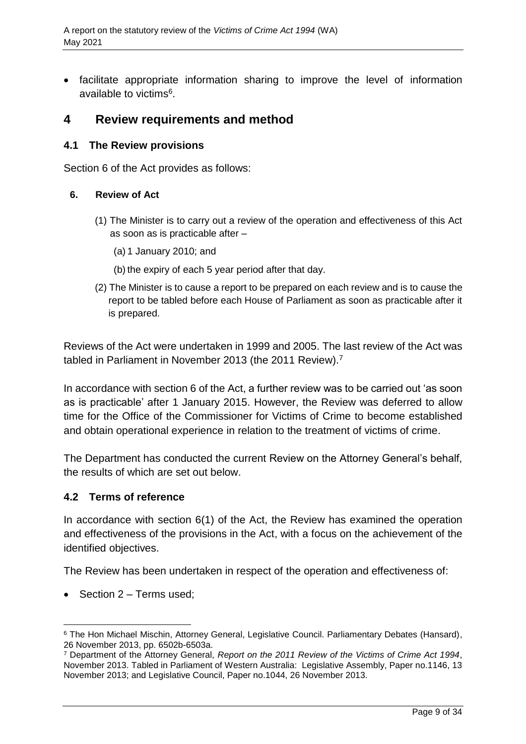• facilitate appropriate information sharing to improve the level of information available to victims<sup>6</sup>.

## <span id="page-8-0"></span>**4 Review requirements and method**

## <span id="page-8-1"></span>**4.1 The Review provisions**

Section 6 of the Act provides as follows:

#### **6. Review of Act**

- (1) The Minister is to carry out a review of the operation and effectiveness of this Act as soon as is practicable after –
	- (a) 1 January 2010; and
	- (b) the expiry of each 5 year period after that day.
- (2) The Minister is to cause a report to be prepared on each review and is to cause the report to be tabled before each House of Parliament as soon as practicable after it is prepared.

Reviews of the Act were undertaken in 1999 and 2005. The last review of the Act was tabled in Parliament in November 2013 (the 2011 Review).<sup>7</sup>

In accordance with section 6 of the Act, a further review was to be carried out 'as soon as is practicable' after 1 January 2015. However, the Review was deferred to allow time for the Office of the Commissioner for Victims of Crime to become established and obtain operational experience in relation to the treatment of victims of crime.

The Department has conducted the current Review on the Attorney General's behalf, the results of which are set out below.

## <span id="page-8-2"></span>**4.2 Terms of reference**

In accordance with section 6(1) of the Act, the Review has examined the operation and effectiveness of the provisions in the Act, with a focus on the achievement of the identified objectives.

The Review has been undertaken in respect of the operation and effectiveness of:

 $\bullet$  Section 2 – Terms used;

l

<sup>6</sup> The Hon Michael Mischin, Attorney General, Legislative Council. Parliamentary Debates (Hansard), 26 November 2013, pp. 6502b-6503a.

<sup>7</sup> Department of the Attorney General, *Report on the 2011 Review of the Victims of Crime Act 1994*, November 2013. Tabled in Parliament of Western Australia: Legislative Assembly, Paper no.1146, 13 November 2013; and Legislative Council, Paper no.1044, 26 November 2013.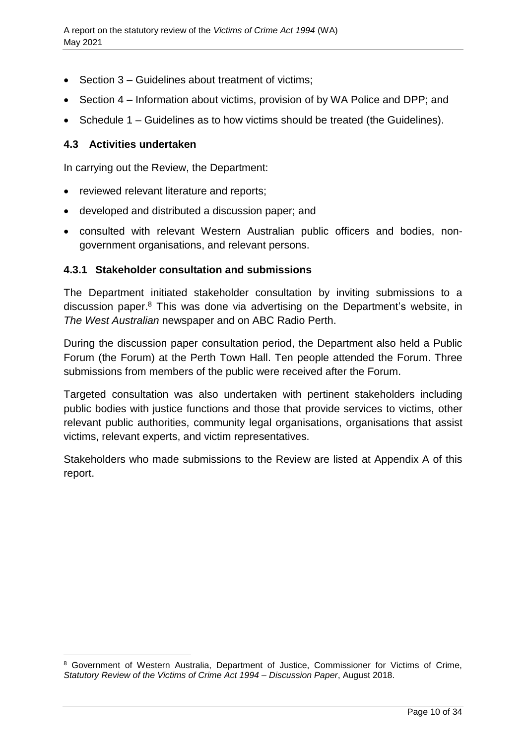- Section 3 Guidelines about treatment of victims;
- Section 4 Information about victims, provision of by WA Police and DPP; and
- Schedule 1 Guidelines as to how victims should be treated (the Guidelines).

## <span id="page-9-0"></span>**4.3 Activities undertaken**

l

In carrying out the Review, the Department:

- reviewed relevant literature and reports;
- developed and distributed a discussion paper; and
- consulted with relevant Western Australian public officers and bodies, nongovernment organisations, and relevant persons.

## **4.3.1 Stakeholder consultation and submissions**

The Department initiated stakeholder consultation by inviting submissions to a discussion paper.<sup>8</sup> This was done via advertising on the Department's website, in *The West Australian* newspaper and on ABC Radio Perth.

During the discussion paper consultation period, the Department also held a Public Forum (the Forum) at the Perth Town Hall. Ten people attended the Forum. Three submissions from members of the public were received after the Forum.

Targeted consultation was also undertaken with pertinent stakeholders including public bodies with justice functions and those that provide services to victims, other relevant public authorities, community legal organisations, organisations that assist victims, relevant experts, and victim representatives.

<span id="page-9-1"></span>Stakeholders who made submissions to the Review are listed at Appendix A of this report.

<sup>8</sup> Government of Western Australia, Department of Justice, Commissioner for Victims of Crime, *Statutory Review of the Victims of Crime Act 1994* – *Discussion Paper*, August 2018.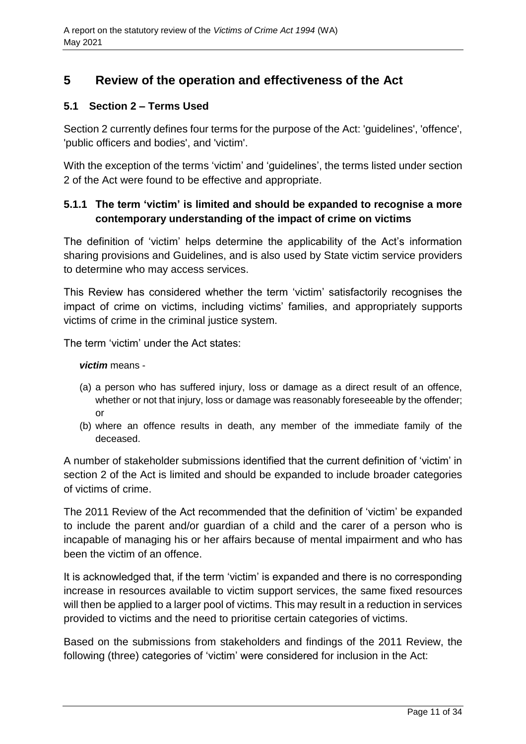# **5 Review of the operation and effectiveness of the Act**

## <span id="page-10-0"></span>**5.1 Section 2 – Terms Used**

Section 2 currently defines four terms for the purpose of the Act: 'guidelines', 'offence', 'public officers and bodies', and 'victim'.

With the exception of the terms 'victim' and 'guidelines', the terms listed under section 2 of the Act were found to be effective and appropriate.

## **5.1.1 The term 'victim' is limited and should be expanded to recognise a more contemporary understanding of the impact of crime on victims**

The definition of 'victim' helps determine the applicability of the Act's information sharing provisions and Guidelines, and is also used by State victim service providers to determine who may access services.

This Review has considered whether the term 'victim' satisfactorily recognises the impact of crime on victims, including victims' families, and appropriately supports victims of crime in the criminal justice system.

The term 'victim' under the Act states:

#### *victim* means -

- (a) a person who has suffered injury, loss or damage as a direct result of an offence, whether or not that injury, loss or damage was reasonably foreseeable by the offender; or
- (b) where an offence results in death, any member of the immediate family of the deceased.

A number of stakeholder submissions identified that the current definition of 'victim' in section 2 of the Act is limited and should be expanded to include broader categories of victims of crime.

The 2011 Review of the Act recommended that the definition of 'victim' be expanded to include the parent and/or guardian of a child and the carer of a person who is incapable of managing his or her affairs because of mental impairment and who has been the victim of an offence.

It is acknowledged that, if the term 'victim' is expanded and there is no corresponding increase in resources available to victim support services, the same fixed resources will then be applied to a larger pool of victims. This may result in a reduction in services provided to victims and the need to prioritise certain categories of victims.

Based on the submissions from stakeholders and findings of the 2011 Review, the following (three) categories of 'victim' were considered for inclusion in the Act: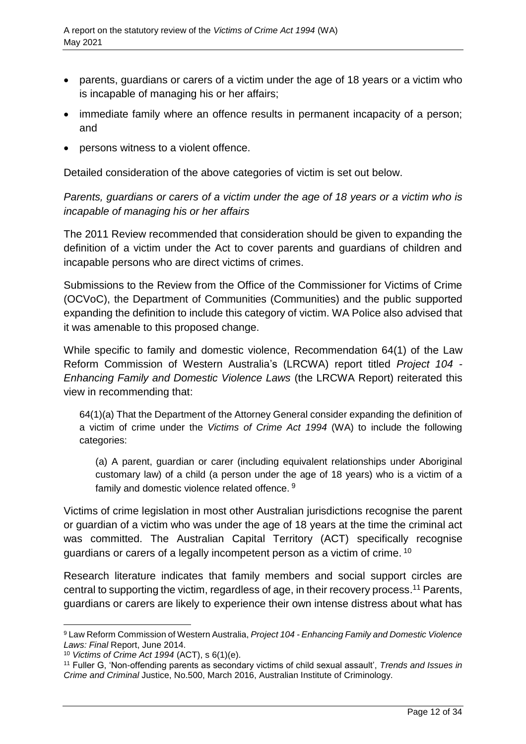- parents, guardians or carers of a victim under the age of 18 years or a victim who is incapable of managing his or her affairs;
- immediate family where an offence results in permanent incapacity of a person; and
- persons witness to a violent offence.

Detailed consideration of the above categories of victim is set out below.

*Parents, guardians or carers of a victim under the age of 18 years or a victim who is incapable of managing his or her affairs* 

The 2011 Review recommended that consideration should be given to expanding the definition of a victim under the Act to cover parents and guardians of children and incapable persons who are direct victims of crimes.

Submissions to the Review from the Office of the Commissioner for Victims of Crime (OCVoC), the Department of Communities (Communities) and the public supported expanding the definition to include this category of victim. WA Police also advised that it was amenable to this proposed change.

While specific to family and domestic violence, Recommendation 64(1) of the Law Reform Commission of Western Australia's (LRCWA) report titled *Project 104 - Enhancing Family and Domestic Violence Laws* (the LRCWA Report) reiterated this view in recommending that:

64(1)(a) That the Department of the Attorney General consider expanding the definition of a victim of crime under the *Victims of Crime Act 1994* (WA) to include the following categories:

(a) A parent, guardian or carer (including equivalent relationships under Aboriginal customary law) of a child (a person under the age of 18 years) who is a victim of a family and domestic violence related offence. <sup>9</sup>

Victims of crime legislation in most other Australian jurisdictions recognise the parent or guardian of a victim who was under the age of 18 years at the time the criminal act was committed. The Australian Capital Territory (ACT) specifically recognise guardians or carers of a legally incompetent person as a victim of crime. <sup>10</sup>

Research literature indicates that family members and social support circles are central to supporting the victim, regardless of age, in their recovery process. <sup>11</sup> Parents, guardians or carers are likely to experience their own intense distress about what has

l

<sup>9</sup> Law Reform Commission of Western Australia, *Project 104 - Enhancing Family and Domestic Violence Laws: Final* Report, June 2014.

<sup>10</sup> *Victims of Crime Act 1994* (ACT), s 6(1)(e).

<sup>11</sup> Fuller G, 'Non-offending parents as secondary victims of child sexual assault', *Trends and Issues in Crime and Criminal* Justice, No.500, March 2016, Australian Institute of Criminology.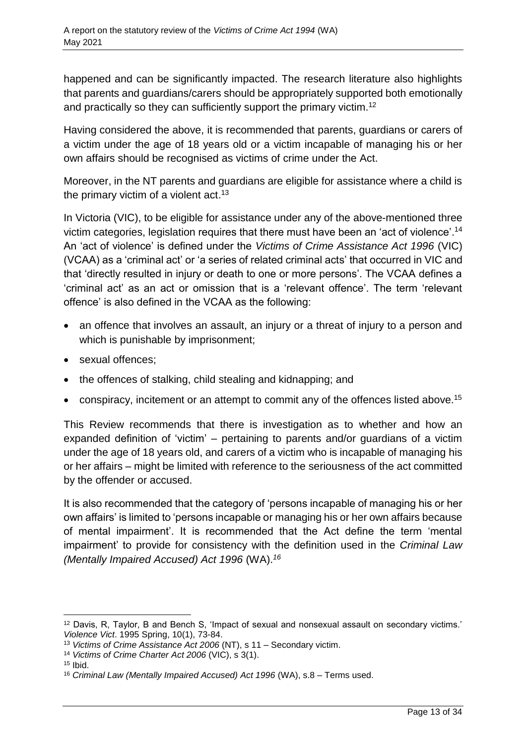happened and can be significantly impacted. The research literature also highlights that parents and guardians/carers should be appropriately supported both emotionally and practically so they can sufficiently support the primary victim.<sup>12</sup>

Having considered the above, it is recommended that parents, guardians or carers of a victim under the age of 18 years old or a victim incapable of managing his or her own affairs should be recognised as victims of crime under the Act.

Moreover, in the NT parents and guardians are eligible for assistance where a child is the primary victim of a violent act.<sup>13</sup>

In Victoria (VIC), to be eligible for assistance under any of the above-mentioned three victim categories, legislation requires that there must have been an 'act of violence'. 14 An 'act of violence' is defined under the *Victims of Crime Assistance Act 1996* (VIC) (VCAA) as a 'criminal act' or 'a series of related criminal acts' that occurred in VIC and that 'directly resulted in injury or death to one or more persons'. The VCAA defines a 'criminal act' as an act or omission that is a 'relevant offence'. The term 'relevant offence' is also defined in the VCAA as the following:

- an offence that involves an assault, an injury or a threat of injury to a person and which is punishable by imprisonment;
- sexual offences;
- the offences of stalking, child stealing and kidnapping; and
- conspiracy, incitement or an attempt to commit any of the offences listed above.<sup>15</sup>

This Review recommends that there is investigation as to whether and how an expanded definition of 'victim' – pertaining to parents and/or guardians of a victim under the age of 18 years old, and carers of a victim who is incapable of managing his or her affairs – might be limited with reference to the seriousness of the act committed by the offender or accused.

It is also recommended that the category of 'persons incapable of managing his or her own affairs' is limited to 'persons incapable or managing his or her own affairs because of mental impairment'. It is recommended that the Act define the term 'mental impairment' to provide for consistency with the definition used in the *Criminal Law (Mentally Impaired Accused) Act 1996* (WA). *16*

 $\overline{a}$ <sup>12</sup> Davis, R, Taylor, B and Bench S, 'Impact of sexual and nonsexual assault on secondary victims.' *Violence Vict*. 1995 Spring, 10(1), 73-84.

<sup>13</sup> *Victims of Crime Assistance Act 2006* (NT), s 11 – Secondary victim.

<sup>14</sup> *Victims of Crime Charter Act 2006* (VIC), s 3(1).

 $15$  Ibid.

<sup>16</sup> *Criminal Law (Mentally Impaired Accused) Act 1996* (WA), s.8 – Terms used.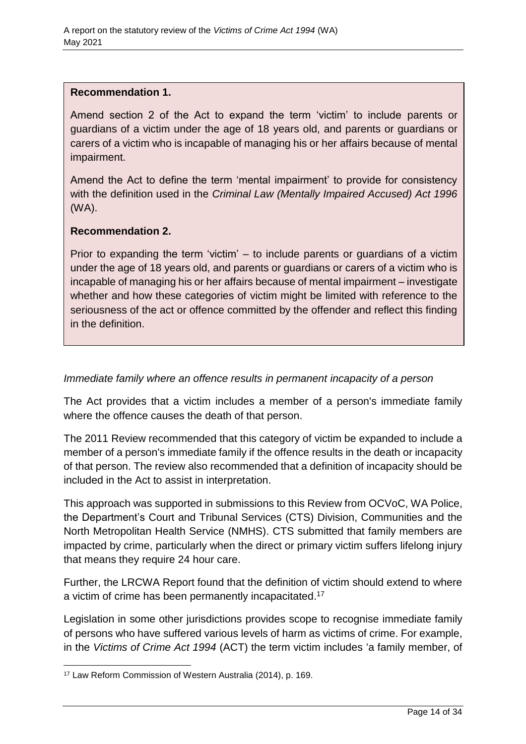#### **Recommendation 1.**

Amend section 2 of the Act to expand the term 'victim' to include parents or guardians of a victim under the age of 18 years old, and parents or guardians or carers of a victim who is incapable of managing his or her affairs because of mental impairment.

Amend the Act to define the term 'mental impairment' to provide for consistency with the definition used in the *Criminal Law (Mentally Impaired Accused) Act 1996* (WA).

## **Recommendation 2.**

Prior to expanding the term 'victim' – to include parents or guardians of a victim under the age of 18 years old, and parents or guardians or carers of a victim who is incapable of managing his or her affairs because of mental impairment – investigate whether and how these categories of victim might be limited with reference to the seriousness of the act or offence committed by the offender and reflect this finding in the definition.

## *Immediate family where an offence results in permanent incapacity of a person*

The Act provides that a victim includes a member of a person's immediate family where the offence causes the death of that person.

The 2011 Review recommended that this category of victim be expanded to include a member of a person's immediate family if the offence results in the death or incapacity of that person. The review also recommended that a definition of incapacity should be included in the Act to assist in interpretation.

This approach was supported in submissions to this Review from OCVoC, WA Police, the Department's Court and Tribunal Services (CTS) Division, Communities and the North Metropolitan Health Service (NMHS). CTS submitted that family members are impacted by crime, particularly when the direct or primary victim suffers lifelong injury that means they require 24 hour care.

Further, the LRCWA Report found that the definition of victim should extend to where a victim of crime has been permanently incapacitated.<sup>17</sup>

Legislation in some other jurisdictions provides scope to recognise immediate family of persons who have suffered various levels of harm as victims of crime. For example, in the *Victims of Crime Act 1994* (ACT) the term victim includes 'a family member, of

l <sup>17</sup> Law Reform Commission of Western Australia (2014), p. 169.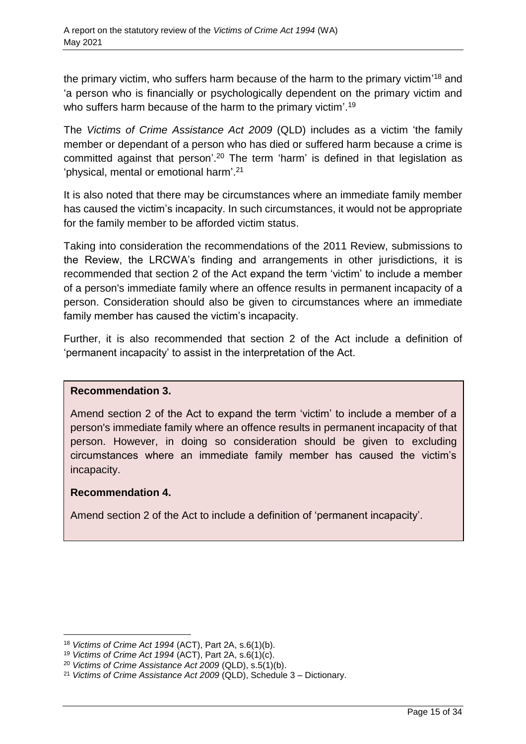the primary victim, who suffers harm because of the harm to the primary victim'<sup>18</sup> and 'a person who is financially or psychologically dependent on the primary victim and who suffers harm because of the harm to the primary victim'.<sup>19</sup>

The *Victims of Crime Assistance Act 2009* (QLD) includes as a victim 'the family member or dependant of a person who has died or suffered harm because a crime is committed against that person'. <sup>20</sup> The term 'harm' is defined in that legislation as 'physical, mental or emotional harm'. 21

It is also noted that there may be circumstances where an immediate family member has caused the victim's incapacity. In such circumstances, it would not be appropriate for the family member to be afforded victim status.

Taking into consideration the recommendations of the 2011 Review, submissions to the Review, the LRCWA's finding and arrangements in other jurisdictions, it is recommended that section 2 of the Act expand the term 'victim' to include a member of a person's immediate family where an offence results in permanent incapacity of a person. Consideration should also be given to circumstances where an immediate family member has caused the victim's incapacity.

Further, it is also recommended that section 2 of the Act include a definition of 'permanent incapacity' to assist in the interpretation of the Act.

## **Recommendation 3.**

Amend section 2 of the Act to expand the term 'victim' to include a member of a person's immediate family where an offence results in permanent incapacity of that person. However, in doing so consideration should be given to excluding circumstances where an immediate family member has caused the victim's incapacity.

## **Recommendation 4.**

Amend section 2 of the Act to include a definition of 'permanent incapacity'.

 $\overline{a}$ <sup>18</sup> *Victims of Crime Act 1994* (ACT), Part 2A, s.6(1)(b).

<sup>19</sup> *Victims of Crime Act 1994* (ACT), Part 2A, s.6(1)(c).

<sup>20</sup> *Victims of Crime Assistance Act 2009* (QLD), s.5(1)(b).

<sup>21</sup> *Victims of Crime Assistance Act 2009* (QLD), Schedule 3 – Dictionary.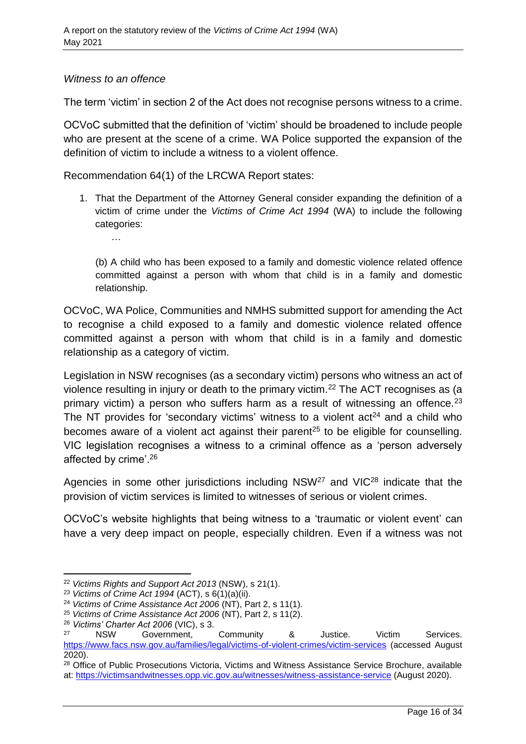## *Witness to an offence*

…

The term 'victim' in section 2 of the Act does not recognise persons witness to a crime.

OCVoC submitted that the definition of 'victim' should be broadened to include people who are present at the scene of a crime. WA Police supported the expansion of the definition of victim to include a witness to a violent offence.

Recommendation 64(1) of the LRCWA Report states:

1. That the Department of the Attorney General consider expanding the definition of a victim of crime under the *Victims of Crime Act 1994* (WA) to include the following categories:

(b) A child who has been exposed to a family and domestic violence related offence committed against a person with whom that child is in a family and domestic relationship.

OCVoC, WA Police, Communities and NMHS submitted support for amending the Act to recognise a child exposed to a family and domestic violence related offence committed against a person with whom that child is in a family and domestic relationship as a category of victim.

Legislation in NSW recognises (as a secondary victim) persons who witness an act of violence resulting in injury or death to the primary victim.<sup>22</sup> The ACT recognises as (a primary victim) a person who suffers harm as a result of witnessing an offence.<sup>23</sup> The NT provides for 'secondary victims' witness to a violent  $act<sup>24</sup>$  and a child who becomes aware of a violent act against their parent<sup>25</sup> to be eligible for counselling. VIC legislation recognises a witness to a criminal offence as a 'person adversely affected by crime'.<sup>26</sup>

Agencies in some other jurisdictions including NSW<sup>27</sup> and VIC<sup>28</sup> indicate that the provision of victim services is limited to witnesses of serious or violent crimes.

OCVoC's website highlights that being witness to a 'traumatic or violent event' can have a very deep impact on people, especially children. Even if a witness was not

 $\overline{a}$ 

<sup>22</sup> *Victims Rights and Support Act 2013* (NSW), s 21(1).

<sup>23</sup> *Victims of Crime Act 1994* (ACT), s 6(1)(a)(ii).

<sup>24</sup> *Victims of Crime Assistance Act 2006* (NT), Part 2, s 11(1).

<sup>25</sup> *Victims of Crime Assistance Act 2006* (NT), Part 2, s 11(2).

<sup>26</sup> *Victims' Charter Act 2006* (VIC), s 3.

<sup>27</sup> NSW Government, Community & Justice. Victim Services. <https://www.facs.nsw.gov.au/families/legal/victims-of-violent-crimes/victim-services> (accessed August 2020).

<sup>&</sup>lt;sup>28</sup> Office of Public Prosecutions Victoria, Victims and Witness Assistance Service Brochure, available at:<https://victimsandwitnesses.opp.vic.gov.au/witnesses/witness-assistance-service> (August 2020).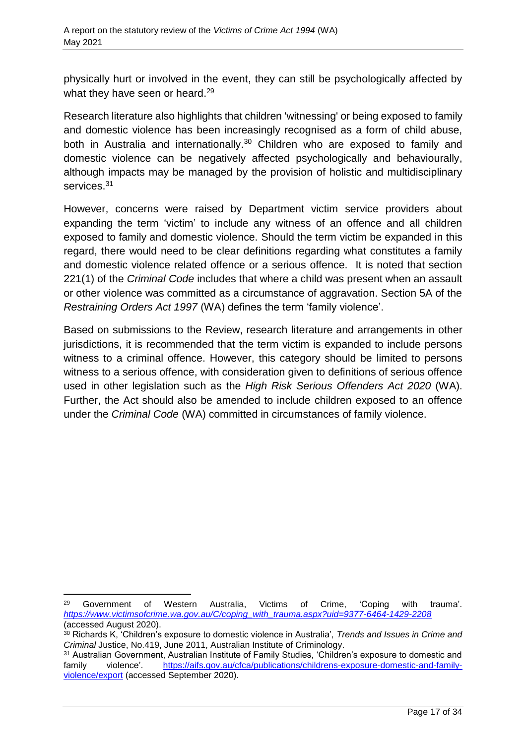physically hurt or involved in the event, they can still be psychologically affected by what they have seen or heard. 29

Research literature also highlights that children 'witnessing' or being exposed to family and domestic violence has been increasingly recognised as a form of child abuse, both in Australia and internationally. <sup>30</sup> Children who are exposed to family and domestic violence can be negatively affected psychologically and behaviourally, although impacts may be managed by the provision of holistic and multidisciplinary services.<sup>31</sup>

However, concerns were raised by Department victim service providers about expanding the term 'victim' to include any witness of an offence and all children exposed to family and domestic violence. Should the term victim be expanded in this regard, there would need to be clear definitions regarding what constitutes a family and domestic violence related offence or a serious offence. It is noted that section 221(1) of the *Criminal Code* includes that where a child was present when an assault or other violence was committed as a circumstance of aggravation. Section 5A of the *Restraining Orders Act 1997* (WA) defines the term 'family violence'.

Based on submissions to the Review, research literature and arrangements in other jurisdictions, it is recommended that the term victim is expanded to include persons witness to a criminal offence. However, this category should be limited to persons witness to a serious offence, with consideration given to definitions of serious offence used in other legislation such as the *High Risk Serious Offenders Act 2020* (WA). Further, the Act should also be amended to include children exposed to an offence under the *Criminal Code* (WA) committed in circumstances of family violence.

l

<sup>29</sup> Government of Western Australia, Victims of Crime, 'Coping with trauma'. *[https://www.victimsofcrime.wa.gov.au/C/coping\\_with\\_trauma.aspx?uid=9377-6464-1429-2208](https://www.victimsofcrime.wa.gov.au/C/coping_with_trauma.aspx?uid=9377-6464-1429-2208)* (accessed August 2020).

<sup>30</sup> Richards K, 'Children's exposure to domestic violence in Australia', *Trends and Issues in Crime and Criminal* Justice, No.419, June 2011, Australian Institute of Criminology.

<sup>31</sup> Australian Government, Australian Institute of Family Studies, 'Children's exposure to domestic and family violence'. [https://aifs.gov.au/cfca/publications/childrens-exposure-domestic-and-family](https://aifs.gov.au/cfca/publications/childrens-exposure-domestic-and-family-violence/export)[violence/export](https://aifs.gov.au/cfca/publications/childrens-exposure-domestic-and-family-violence/export) (accessed September 2020).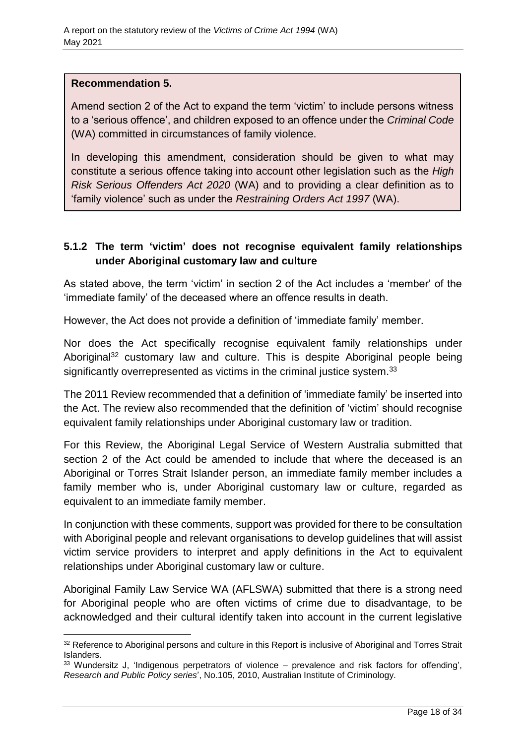#### **Recommendation 5.**

 $\overline{a}$ 

Amend section 2 of the Act to expand the term 'victim' to include persons witness to a 'serious offence', and children exposed to an offence under the *Criminal Code*  (WA) committed in circumstances of family violence.

In developing this amendment, consideration should be given to what may constitute a serious offence taking into account other legislation such as the *High Risk Serious Offenders Act 2020* (WA) and to providing a clear definition as to 'family violence' such as under the *Restraining Orders Act 1997* (WA).

## **5.1.2 The term 'victim' does not recognise equivalent family relationships under Aboriginal customary law and culture**

As stated above, the term 'victim' in section 2 of the Act includes a 'member' of the 'immediate family' of the deceased where an offence results in death.

However, the Act does not provide a definition of 'immediate family' member.

Nor does the Act specifically recognise equivalent family relationships under Aboriginal<sup>32</sup> customary law and culture. This is despite Aboriginal people being significantly overrepresented as victims in the criminal justice system.<sup>33</sup>

The 2011 Review recommended that a definition of 'immediate family' be inserted into the Act. The review also recommended that the definition of 'victim' should recognise equivalent family relationships under Aboriginal customary law or tradition.

For this Review, the Aboriginal Legal Service of Western Australia submitted that section 2 of the Act could be amended to include that where the deceased is an Aboriginal or Torres Strait Islander person, an immediate family member includes a family member who is, under Aboriginal customary law or culture, regarded as equivalent to an immediate family member.

In conjunction with these comments, support was provided for there to be consultation with Aboriginal people and relevant organisations to develop guidelines that will assist victim service providers to interpret and apply definitions in the Act to equivalent relationships under Aboriginal customary law or culture.

Aboriginal Family Law Service WA (AFLSWA) submitted that there is a strong need for Aboriginal people who are often victims of crime due to disadvantage, to be acknowledged and their cultural identify taken into account in the current legislative

<sup>32</sup> Reference to Aboriginal persons and culture in this Report is inclusive of Aboriginal and Torres Strait Islanders.

<sup>33</sup> Wundersitz J, 'Indigenous perpetrators of violence – prevalence and risk factors for offending', *Research and Public Policy series*', No.105, 2010, Australian Institute of Criminology.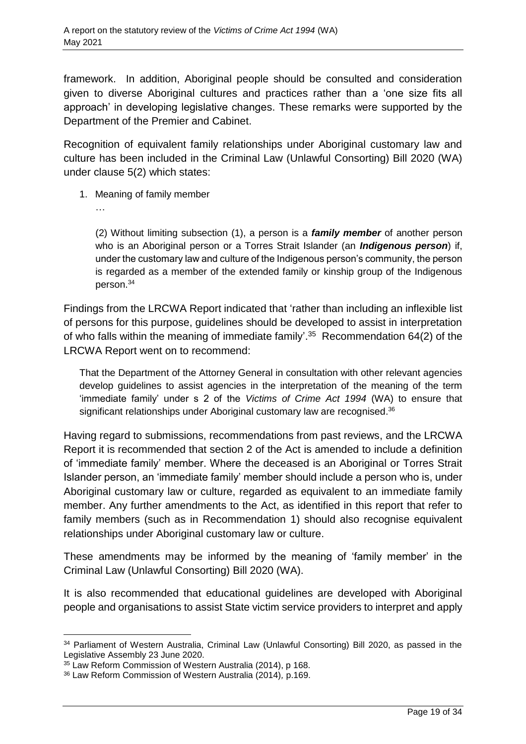framework. In addition, Aboriginal people should be consulted and consideration given to diverse Aboriginal cultures and practices rather than a 'one size fits all approach' in developing legislative changes. These remarks were supported by the Department of the Premier and Cabinet.

Recognition of equivalent family relationships under Aboriginal customary law and culture has been included in the Criminal Law (Unlawful Consorting) Bill 2020 (WA) under clause 5(2) which states:

- 1. Meaning of family member
	- …

 $\overline{a}$ 

(2) Without limiting subsection (1), a person is a *family member* of another person who is an Aboriginal person or a Torres Strait Islander (an *Indigenous person*) if, under the customary law and culture of the Indigenous person's community, the person is regarded as a member of the extended family or kinship group of the Indigenous person.<sup>34</sup>

Findings from the LRCWA Report indicated that 'rather than including an inflexible list of persons for this purpose, guidelines should be developed to assist in interpretation of who falls within the meaning of immediate family'. <sup>35</sup> Recommendation 64(2) of the LRCWA Report went on to recommend:

That the Department of the Attorney General in consultation with other relevant agencies develop guidelines to assist agencies in the interpretation of the meaning of the term 'immediate family' under s 2 of the *Victims of Crime Act 1994* (WA) to ensure that significant relationships under Aboriginal customary law are recognised.<sup>36</sup>

Having regard to submissions, recommendations from past reviews, and the LRCWA Report it is recommended that section 2 of the Act is amended to include a definition of 'immediate family' member. Where the deceased is an Aboriginal or Torres Strait Islander person, an 'immediate family' member should include a person who is, under Aboriginal customary law or culture, regarded as equivalent to an immediate family member. Any further amendments to the Act, as identified in this report that refer to family members (such as in Recommendation 1) should also recognise equivalent relationships under Aboriginal customary law or culture.

These amendments may be informed by the meaning of 'family member' in the Criminal Law (Unlawful Consorting) Bill 2020 (WA).

It is also recommended that educational guidelines are developed with Aboriginal people and organisations to assist State victim service providers to interpret and apply

<sup>34</sup> Parliament of Western Australia, Criminal Law (Unlawful Consorting) Bill 2020, as passed in the Legislative Assembly 23 June 2020.

<sup>35</sup> Law Reform Commission of Western Australia (2014), p 168.

<sup>36</sup> Law Reform Commission of Western Australia (2014)*,* p.169.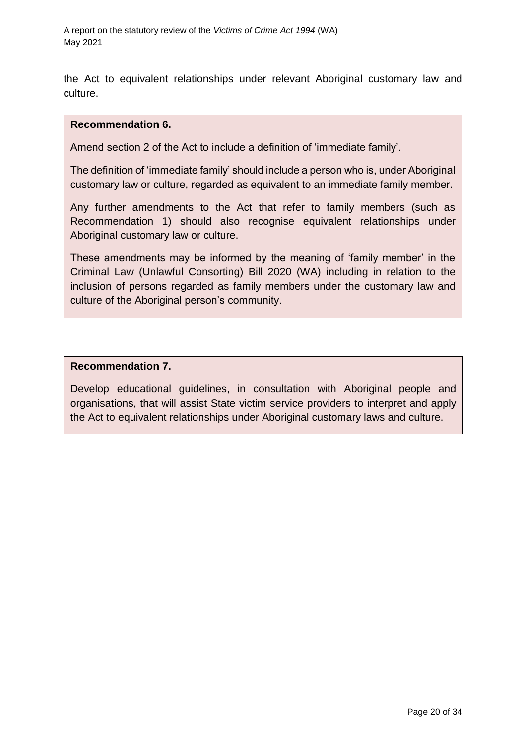the Act to equivalent relationships under relevant Aboriginal customary law and culture.

#### **Recommendation 6.**

Amend section 2 of the Act to include a definition of 'immediate family'.

The definition of 'immediate family' should include a person who is, under Aboriginal customary law or culture, regarded as equivalent to an immediate family member.

Any further amendments to the Act that refer to family members (such as Recommendation 1) should also recognise equivalent relationships under Aboriginal customary law or culture.

These amendments may be informed by the meaning of 'family member' in the Criminal Law (Unlawful Consorting) Bill 2020 (WA) including in relation to the inclusion of persons regarded as family members under the customary law and culture of the Aboriginal person's community.

#### **Recommendation 7.**

Develop educational guidelines, in consultation with Aboriginal people and organisations, that will assist State victim service providers to interpret and apply the Act to equivalent relationships under Aboriginal customary laws and culture.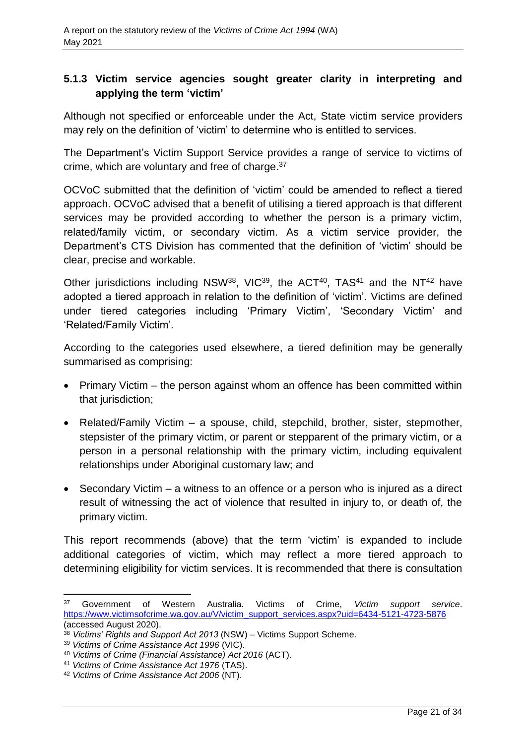## **5.1.3 Victim service agencies sought greater clarity in interpreting and applying the term 'victim'**

Although not specified or enforceable under the Act, State victim service providers may rely on the definition of 'victim' to determine who is entitled to services.

The Department's Victim Support Service provides a range of service to victims of crime, which are voluntary and free of charge. 37

OCVoC submitted that the definition of 'victim' could be amended to reflect a tiered approach. OCVoC advised that a benefit of utilising a tiered approach is that different services may be provided according to whether the person is a primary victim, related/family victim, or secondary victim. As a victim service provider, the Department's CTS Division has commented that the definition of 'victim' should be clear, precise and workable.

Other jurisdictions including NSW<sup>38</sup>, VIC<sup>39</sup>, the ACT<sup>40</sup>, TAS<sup>41</sup> and the NT<sup>42</sup> have adopted a tiered approach in relation to the definition of 'victim'. Victims are defined under tiered categories including 'Primary Victim', 'Secondary Victim' and 'Related/Family Victim'.

According to the categories used elsewhere, a tiered definition may be generally summarised as comprising:

- Primary Victim the person against whom an offence has been committed within that jurisdiction;
- Related/Family Victim a spouse, child, stepchild, brother, sister, stepmother, stepsister of the primary victim, or parent or stepparent of the primary victim, or a person in a personal relationship with the primary victim, including equivalent relationships under Aboriginal customary law; and
- Secondary Victim a witness to an offence or a person who is injured as a direct result of witnessing the act of violence that resulted in injury to, or death of, the primary victim.

This report recommends (above) that the term 'victim' is expanded to include additional categories of victim, which may reflect a more tiered approach to determining eligibility for victim services. It is recommended that there is consultation

l

<sup>37</sup> Government of Western Australia. Victims of Crime, *Victim support service*. [https://www.victimsofcrime.wa.gov.au/V/victim\\_support\\_services.aspx?uid=6434-5121-4723-5876](https://www.victimsofcrime.wa.gov.au/V/victim_support_services.aspx?uid=6434-5121-4723-5876) (accessed August 2020).

<sup>38</sup> *Victims' Rights and Support Act 2013* (NSW) – Victims Support Scheme.

<sup>39</sup> *Victims of Crime Assistance Act 1996* (VIC).

<sup>40</sup> *Victims of Crime (Financial Assistance) Act 2016* (ACT).

<sup>41</sup> *Victims of Crime Assistance Act 1976* (TAS).

<sup>42</sup> *Victims of Crime Assistance Act 2006* (NT).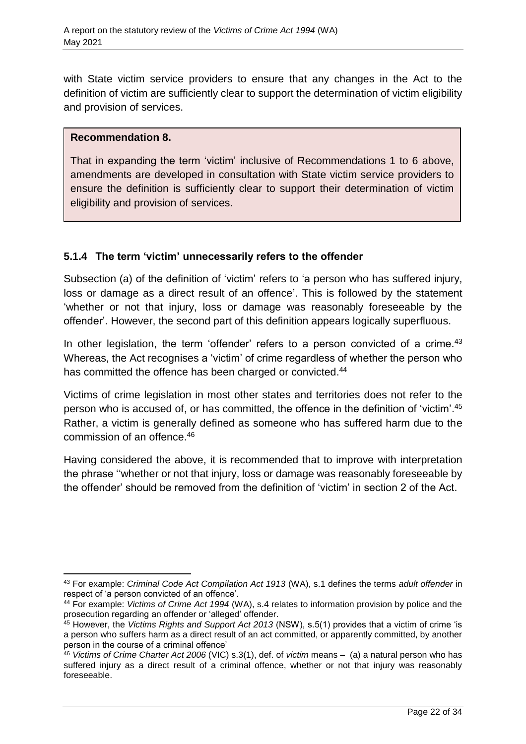with State victim service providers to ensure that any changes in the Act to the definition of victim are sufficiently clear to support the determination of victim eligibility and provision of services.

## **Recommendation 8.**

 $\overline{a}$ 

That in expanding the term 'victim' inclusive of Recommendations 1 to 6 above, amendments are developed in consultation with State victim service providers to ensure the definition is sufficiently clear to support their determination of victim eligibility and provision of services.

## **5.1.4 The term 'victim' unnecessarily refers to the offender**

Subsection (a) of the definition of 'victim' refers to 'a person who has suffered injury, loss or damage as a direct result of an offence'. This is followed by the statement 'whether or not that injury, loss or damage was reasonably foreseeable by the offender'. However, the second part of this definition appears logically superfluous.

In other legislation, the term 'offender' refers to a person convicted of a crime.<sup>43</sup> Whereas, the Act recognises a 'victim' of crime regardless of whether the person who has committed the offence has been charged or convicted.<sup>44</sup>

Victims of crime legislation in most other states and territories does not refer to the person who is accused of, or has committed, the offence in the definition of 'victim'. 45 Rather, a victim is generally defined as someone who has suffered harm due to the commission of an offence. 46

Having considered the above, it is recommended that to improve with interpretation the phrase ''whether or not that injury, loss or damage was reasonably foreseeable by the offender' should be removed from the definition of 'victim' in section 2 of the Act.

<sup>43</sup> For example: *Criminal Code Act Compilation Act 1913* (WA), s.1 defines the terms *adult offender* in respect of 'a person convicted of an offence'.

<sup>44</sup> For example: *Victims of Crime Act 1994* (WA), s.4 relates to information provision by police and the prosecution regarding an offender or 'alleged' offender.

<sup>45</sup> However, the *Victims Rights and Support Act 2013* (NSW), s.5(1) provides that a victim of crime 'is a person who suffers harm as a direct result of an act committed, or apparently committed, by another person in the course of a criminal offence'

<sup>46</sup> *Victims of Crime Charter Act 2006* (VIC) s.3(1), def. of *victim* means – (a) a natural person who has suffered injury as a direct result of a criminal offence, whether or not that injury was reasonably foreseeable.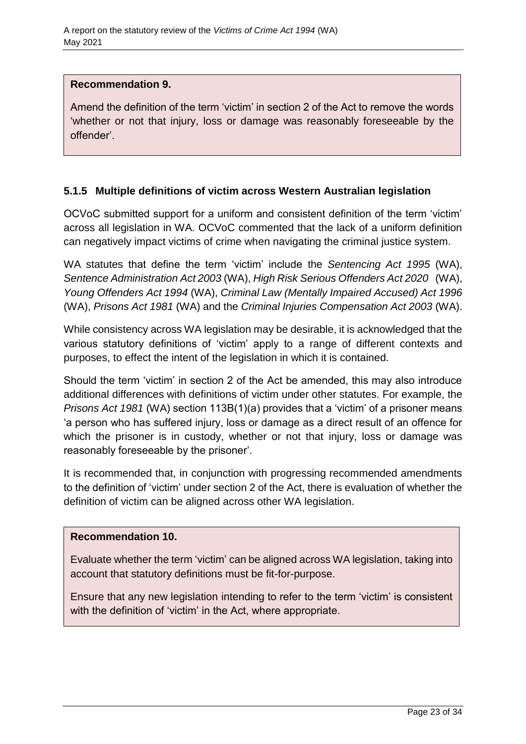#### **Recommendation 9.**

Amend the definition of the term 'victim' in section 2 of the Act to remove the words 'whether or not that injury, loss or damage was reasonably foreseeable by the offender'.

## **5.1.5 Multiple definitions of victim across Western Australian legislation**

OCVoC submitted support for a uniform and consistent definition of the term 'victim' across all legislation in WA. OCVoC commented that the lack of a uniform definition can negatively impact victims of crime when navigating the criminal justice system.

WA statutes that define the term 'victim' include the *Sentencing Act 1995* (WA), *Sentence Administration Act 2003* (WA), *High Risk Serious Offenders Act 2020* (WA), *Young Offenders Act 1994* (WA), *Criminal Law (Mentally Impaired Accused) Act 1996* (WA), *Prisons Act 1981* (WA) and the *Criminal Injuries Compensation Act 2003* (WA).

While consistency across WA legislation may be desirable, it is acknowledged that the various statutory definitions of 'victim' apply to a range of different contexts and purposes, to effect the intent of the legislation in which it is contained.

Should the term 'victim' in section 2 of the Act be amended, this may also introduce additional differences with definitions of victim under other statutes. For example, the *Prisons Act 1981* (WA) section 113B(1)(a) provides that a 'victim' of a prisoner means 'a person who has suffered injury, loss or damage as a direct result of an offence for which the prisoner is in custody, whether or not that injury, loss or damage was reasonably foreseeable by the prisoner'.

It is recommended that, in conjunction with progressing recommended amendments to the definition of 'victim' under section 2 of the Act, there is evaluation of whether the definition of victim can be aligned across other WA legislation.

## **Recommendation 10.**

Evaluate whether the term 'victim' can be aligned across WA legislation, taking into account that statutory definitions must be fit-for-purpose.

Ensure that any new legislation intending to refer to the term 'victim' is consistent with the definition of 'victim' in the Act, where appropriate.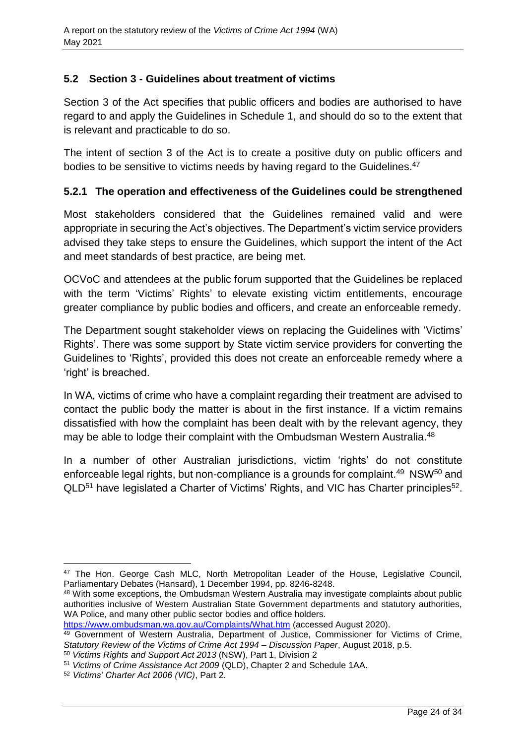## <span id="page-23-0"></span>**5.2 Section 3 - Guidelines about treatment of victims**

Section 3 of the Act specifies that public officers and bodies are authorised to have regard to and apply the Guidelines in Schedule 1, and should do so to the extent that is relevant and practicable to do so.

The intent of section 3 of the Act is to create a positive duty on public officers and bodies to be sensitive to victims needs by having regard to the Guidelines.<sup>47</sup>

## **5.2.1 The operation and effectiveness of the Guidelines could be strengthened**

Most stakeholders considered that the Guidelines remained valid and were appropriate in securing the Act's objectives. The Department's victim service providers advised they take steps to ensure the Guidelines, which support the intent of the Act and meet standards of best practice, are being met.

OCVoC and attendees at the public forum supported that the Guidelines be replaced with the term 'Victims' Rights' to elevate existing victim entitlements, encourage greater compliance by public bodies and officers, and create an enforceable remedy.

The Department sought stakeholder views on replacing the Guidelines with 'Victims' Rights'. There was some support by State victim service providers for converting the Guidelines to 'Rights', provided this does not create an enforceable remedy where a 'right' is breached.

In WA, victims of crime who have a complaint regarding their treatment are advised to contact the public body the matter is about in the first instance. If a victim remains dissatisfied with how the complaint has been dealt with by the relevant agency, they may be able to lodge their complaint with the Ombudsman Western Australia. 48

In a number of other Australian jurisdictions, victim 'rights' do not constitute enforceable legal rights, but non-compliance is a grounds for complaint.<sup>49</sup> NSW<sup>50</sup> and  $QLD^{51}$  have legislated a Charter of Victims' Rights, and VIC has Charter principles<sup>52</sup>.

<https://www.ombudsman.wa.gov.au/Complaints/What.htm> (accessed August 2020).

 $\overline{a}$ <sup>47</sup> The Hon. George Cash MLC, North Metropolitan Leader of the House, Legislative Council, Parliamentary Debates (Hansard), 1 December 1994, pp. 8246-8248.

<sup>48</sup> With some exceptions, the Ombudsman Western Australia may investigate complaints about public authorities inclusive of Western Australian State Government departments and statutory authorities, WA Police, and many other public sector bodies and office holders.

<sup>49</sup> Government of Western Australia, Department of Justice, Commissioner for Victims of Crime, *Statutory Review of the Victims of Crime Act 1994* – *Discussion Paper*, August 2018, p.5.

<sup>50</sup> *Victims Rights and Support Act 2013* (NSW), Part 1, Division 2

<sup>51</sup> *Victims of Crime Assistance Act 2009* (QLD), Chapter 2 and Schedule 1AA.

<sup>52</sup> *Victims' Charter Act 2006 (VIC)*, Part 2*.*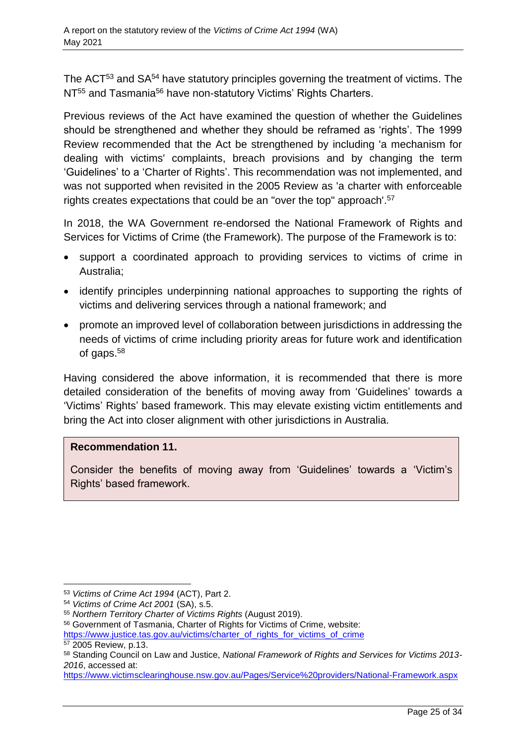The ACT<sup>53</sup> and SA<sup>54</sup> have statutory principles governing the treatment of victims. The NT<sup>55</sup> and Tasmania<sup>56</sup> have non-statutory Victims' Rights Charters.

Previous reviews of the Act have examined the question of whether the Guidelines should be strengthened and whether they should be reframed as 'rights'. The 1999 Review recommended that the Act be strengthened by including 'a mechanism for dealing with victims' complaints, breach provisions and by changing the term 'Guidelines' to a 'Charter of Rights'. This recommendation was not implemented, and was not supported when revisited in the 2005 Review as 'a charter with enforceable rights creates expectations that could be an "over the top" approach'. 57

In 2018, the WA Government re-endorsed the National Framework of Rights and Services for Victims of Crime (the Framework). The purpose of the Framework is to:

- support a coordinated approach to providing services to victims of crime in Australia;
- identify principles underpinning national approaches to supporting the rights of victims and delivering services through a national framework; and
- promote an improved level of collaboration between jurisdictions in addressing the needs of victims of crime including priority areas for future work and identification of gaps.<sup>58</sup>

Having considered the above information, it is recommended that there is more detailed consideration of the benefits of moving away from 'Guidelines' towards a 'Victims' Rights' based framework. This may elevate existing victim entitlements and bring the Act into closer alignment with other jurisdictions in Australia.

## **Recommendation 11.**

Consider the benefits of moving away from 'Guidelines' towards a 'Victim's Rights' based framework.

 $\overline{a}$ <sup>53</sup> *Victims of Crime Act 1994* (ACT), Part 2.

<sup>54</sup> *Victims of Crime Act 2001* (SA), s.5.

<sup>55</sup> *Northern Territory Charter of Victims Rights* (August 2019).

<sup>56</sup> Government of Tasmania, Charter of Rights for Victims of Crime, website:

[https://www.justice.tas.gov.au/victims/charter\\_of\\_rights\\_for\\_victims\\_of\\_crime](https://www.justice.tas.gov.au/victims/charter_of_rights_for_victims_of_crime) <sup>57</sup> 2005 Review, p.13.

<sup>58</sup> Standing Council on Law and Justice, *National Framework of Rights and Services for Victims 2013- 2016*, accessed at:

<https://www.victimsclearinghouse.nsw.gov.au/Pages/Service%20providers/National-Framework.aspx>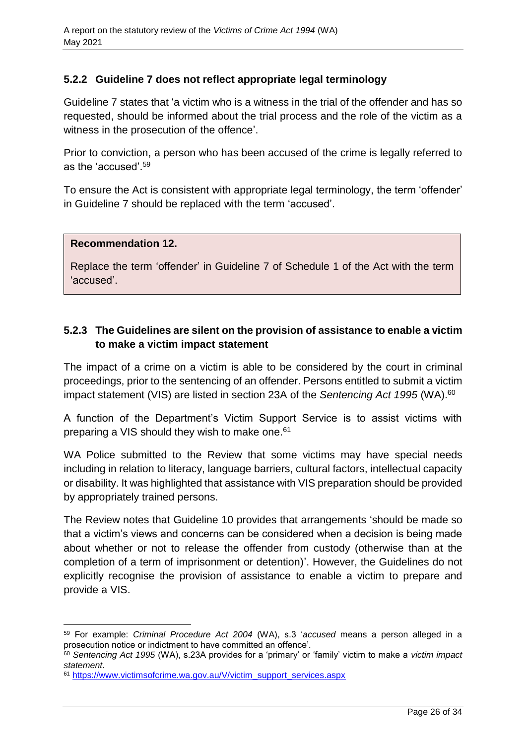## **5.2.2 Guideline 7 does not reflect appropriate legal terminology**

Guideline 7 states that 'a victim who is a witness in the trial of the offender and has so requested, should be informed about the trial process and the role of the victim as a witness in the prosecution of the offence'.

Prior to conviction, a person who has been accused of the crime is legally referred to as the 'accused'.<sup>59</sup>

To ensure the Act is consistent with appropriate legal terminology, the term 'offender' in Guideline 7 should be replaced with the term 'accused'.

#### **Recommendation 12.**

l

Replace the term 'offender' in Guideline 7 of Schedule 1 of the Act with the term 'accused'.

## **5.2.3 The Guidelines are silent on the provision of assistance to enable a victim to make a victim impact statement**

The impact of a crime on a victim is able to be considered by the court in criminal proceedings, prior to the sentencing of an offender. Persons entitled to submit a victim impact statement (VIS) are listed in section 23A of the *Sentencing Act 1995* (WA).<sup>60</sup>

A function of the Department's Victim Support Service is to assist victims with preparing a VIS should they wish to make one.<sup>61</sup>

WA Police submitted to the Review that some victims may have special needs including in relation to literacy, language barriers, cultural factors, intellectual capacity or disability. It was highlighted that assistance with VIS preparation should be provided by appropriately trained persons.

The Review notes that Guideline 10 provides that arrangements 'should be made so that a victim's views and concerns can be considered when a decision is being made about whether or not to release the offender from custody (otherwise than at the completion of a term of imprisonment or detention)'. However, the Guidelines do not explicitly recognise the provision of assistance to enable a victim to prepare and provide a VIS.

<sup>59</sup> For example: *Criminal Procedure Act 2004* (WA), s.3 '*accused* means a person alleged in a prosecution notice or indictment to have committed an offence'.

<sup>60</sup> *Sentencing Act 1995* (WA), s.23A provides for a 'primary' or 'family' victim to make a *victim impact statement*.

<sup>61</sup> [https://www.victimsofcrime.wa.gov.au/V/victim\\_support\\_services.aspx](https://www.victimsofcrime.wa.gov.au/V/victim_support_services.aspx)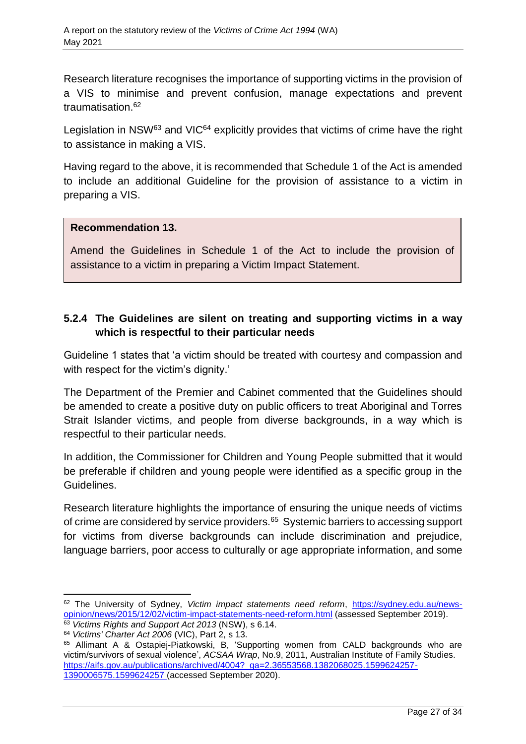Research literature recognises the importance of supporting victims in the provision of a VIS to minimise and prevent confusion, manage expectations and prevent traumatisation.<sup>62</sup>

Legislation in NSW<sup>63</sup> and VIC<sup>64</sup> explicitly provides that victims of crime have the right to assistance in making a VIS.

Having regard to the above, it is recommended that Schedule 1 of the Act is amended to include an additional Guideline for the provision of assistance to a victim in preparing a VIS.

## **Recommendation 13.**

Amend the Guidelines in Schedule 1 of the Act to include the provision of assistance to a victim in preparing a Victim Impact Statement.

## **5.2.4 The Guidelines are silent on treating and supporting victims in a way which is respectful to their particular needs**

Guideline 1 states that 'a victim should be treated with courtesy and compassion and with respect for the victim's dignity.'

The Department of the Premier and Cabinet commented that the Guidelines should be amended to create a positive duty on public officers to treat Aboriginal and Torres Strait Islander victims, and people from diverse backgrounds, in a way which is respectful to their particular needs.

In addition, the Commissioner for Children and Young People submitted that it would be preferable if children and young people were identified as a specific group in the Guidelines.

Research literature highlights the importance of ensuring the unique needs of victims of crime are considered by service providers.<sup>65</sup> Systemic barriers to accessing support for victims from diverse backgrounds can include discrimination and prejudice, language barriers, poor access to culturally or age appropriate information, and some

l

<sup>62</sup> The University of Sydney, *Victim impact statements need reform*, [https://sydney.edu.au/news](https://sydney.edu.au/news-opinion/news/2015/12/02/victim-impact-statements-need-reform.html)[opinion/news/2015/12/02/victim-impact-statements-need-reform.html](https://sydney.edu.au/news-opinion/news/2015/12/02/victim-impact-statements-need-reform.html) (assessed September 2019).

<sup>63</sup> *Victims Rights and Support Act 2013* (NSW), s 6.14.

<sup>64</sup> *Victims' Charter Act 2006* (VIC), Part 2, s 13.

<sup>65</sup> Allimant A & Ostapiej-Piatkowski, B, 'Supporting women from CALD backgrounds who are victim/survivors of sexual violence', *ACSAA Wrap*, No.9, 2011, Australian Institute of Family Studies. [https://aifs.gov.au/publications/archived/4004?\\_ga=2.36553568.1382068025.1599624257-](https://aifs.gov.au/publications/archived/4004?_ga=2.36553568.1382068025.1599624257-1390006575.1599624257) [1390006575.1599624257](https://aifs.gov.au/publications/archived/4004?_ga=2.36553568.1382068025.1599624257-1390006575.1599624257) (accessed September 2020).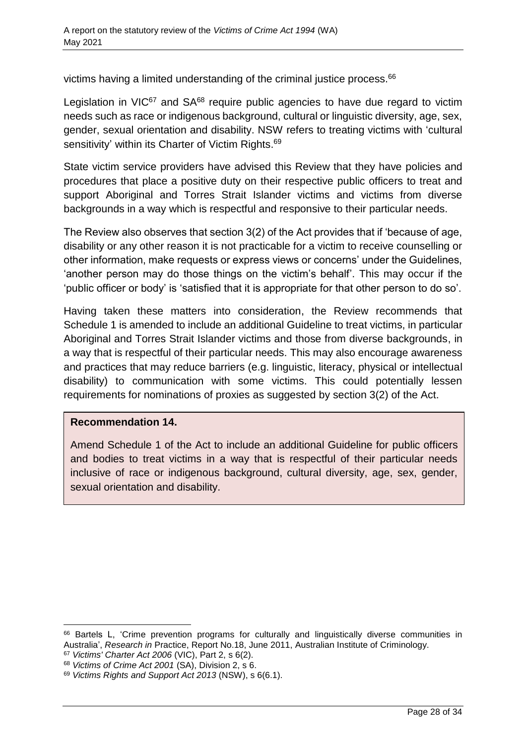victims having a limited understanding of the criminal justice process. 66

Legislation in  $VIC<sup>67</sup>$  and  $SA<sup>68</sup>$  require public agencies to have due regard to victim needs such as race or indigenous background, cultural or linguistic diversity, age, sex, gender, sexual orientation and disability. NSW refers to treating victims with 'cultural sensitivity' within its Charter of Victim Rights. 69

State victim service providers have advised this Review that they have policies and procedures that place a positive duty on their respective public officers to treat and support Aboriginal and Torres Strait Islander victims and victims from diverse backgrounds in a way which is respectful and responsive to their particular needs.

The Review also observes that section 3(2) of the Act provides that if 'because of age, disability or any other reason it is not practicable for a victim to receive counselling or other information, make requests or express views or concerns' under the Guidelines, 'another person may do those things on the victim's behalf'. This may occur if the 'public officer or body' is 'satisfied that it is appropriate for that other person to do so'.

Having taken these matters into consideration, the Review recommends that Schedule 1 is amended to include an additional Guideline to treat victims, in particular Aboriginal and Torres Strait Islander victims and those from diverse backgrounds, in a way that is respectful of their particular needs. This may also encourage awareness and practices that may reduce barriers (e.g. linguistic, literacy, physical or intellectual disability) to communication with some victims. This could potentially lessen requirements for nominations of proxies as suggested by section 3(2) of the Act.

## **Recommendation 14.**

l

Amend Schedule 1 of the Act to include an additional Guideline for public officers and bodies to treat victims in a way that is respectful of their particular needs inclusive of race or indigenous background, cultural diversity, age, sex, gender, sexual orientation and disability.

<sup>67</sup> *Victims' Charter Act 2006* (VIC), Part 2, s 6(2).

<sup>&</sup>lt;sup>66</sup> Bartels L, 'Crime prevention programs for culturally and linguistically diverse communities in Australia', *Research in* Practice, Report No.18, June 2011, Australian Institute of Criminology.

<sup>68</sup> *Victims of Crime Act 2001* (SA), Division 2, s 6.

<sup>69</sup> *Victims Rights and Support Act 2013* (NSW), s 6(6.1).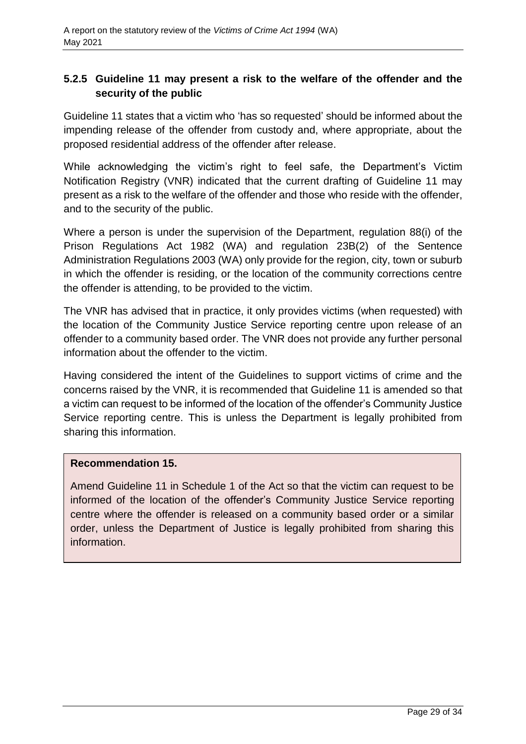## **5.2.5 Guideline 11 may present a risk to the welfare of the offender and the security of the public**

Guideline 11 states that a victim who 'has so requested' should be informed about the impending release of the offender from custody and, where appropriate, about the proposed residential address of the offender after release.

While acknowledging the victim's right to feel safe, the Department's Victim Notification Registry (VNR) indicated that the current drafting of Guideline 11 may present as a risk to the welfare of the offender and those who reside with the offender, and to the security of the public.

Where a person is under the supervision of the Department, regulation 88(i) of the Prison Regulations Act 1982 (WA) and regulation 23B(2) of the Sentence Administration Regulations 2003 (WA) only provide for the region, city, town or suburb in which the offender is residing, or the location of the community corrections centre the offender is attending, to be provided to the victim.

The VNR has advised that in practice, it only provides victims (when requested) with the location of the Community Justice Service reporting centre upon release of an offender to a community based order. The VNR does not provide any further personal information about the offender to the victim.

Having considered the intent of the Guidelines to support victims of crime and the concerns raised by the VNR, it is recommended that Guideline 11 is amended so that a victim can request to be informed of the location of the offender's Community Justice Service reporting centre. This is unless the Department is legally prohibited from sharing this information.

## **Recommendation 15.**

Amend Guideline 11 in Schedule 1 of the Act so that the victim can request to be informed of the location of the offender's Community Justice Service reporting centre where the offender is released on a community based order or a similar order, unless the Department of Justice is legally prohibited from sharing this information.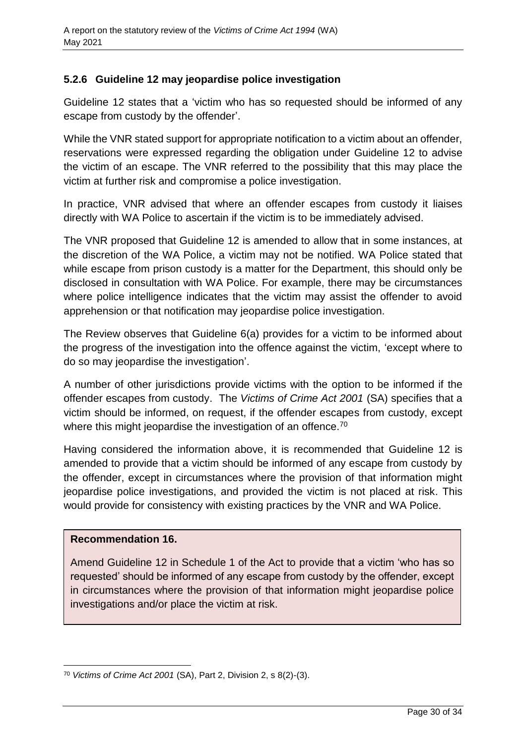## **5.2.6 Guideline 12 may jeopardise police investigation**

Guideline 12 states that a 'victim who has so requested should be informed of any escape from custody by the offender'.

While the VNR stated support for appropriate notification to a victim about an offender, reservations were expressed regarding the obligation under Guideline 12 to advise the victim of an escape. The VNR referred to the possibility that this may place the victim at further risk and compromise a police investigation.

In practice, VNR advised that where an offender escapes from custody it liaises directly with WA Police to ascertain if the victim is to be immediately advised.

The VNR proposed that Guideline 12 is amended to allow that in some instances, at the discretion of the WA Police, a victim may not be notified. WA Police stated that while escape from prison custody is a matter for the Department, this should only be disclosed in consultation with WA Police. For example, there may be circumstances where police intelligence indicates that the victim may assist the offender to avoid apprehension or that notification may jeopardise police investigation.

The Review observes that Guideline 6(a) provides for a victim to be informed about the progress of the investigation into the offence against the victim, 'except where to do so may jeopardise the investigation'.

A number of other jurisdictions provide victims with the option to be informed if the offender escapes from custody. The *Victims of Crime Act 2001* (SA) specifies that a victim should be informed, on request, if the offender escapes from custody, except where this might jeopardise the investigation of an offence.<sup>70</sup>

Having considered the information above, it is recommended that Guideline 12 is amended to provide that a victim should be informed of any escape from custody by the offender, except in circumstances where the provision of that information might jeopardise police investigations, and provided the victim is not placed at risk. This would provide for consistency with existing practices by the VNR and WA Police.

## **Recommendation 16.**

Amend Guideline 12 in Schedule 1 of the Act to provide that a victim 'who has so requested' should be informed of any escape from custody by the offender, except in circumstances where the provision of that information might jeopardise police investigations and/or place the victim at risk.

l <sup>70</sup> *Victims of Crime Act 2001* (SA), Part 2, Division 2, s 8(2)-(3).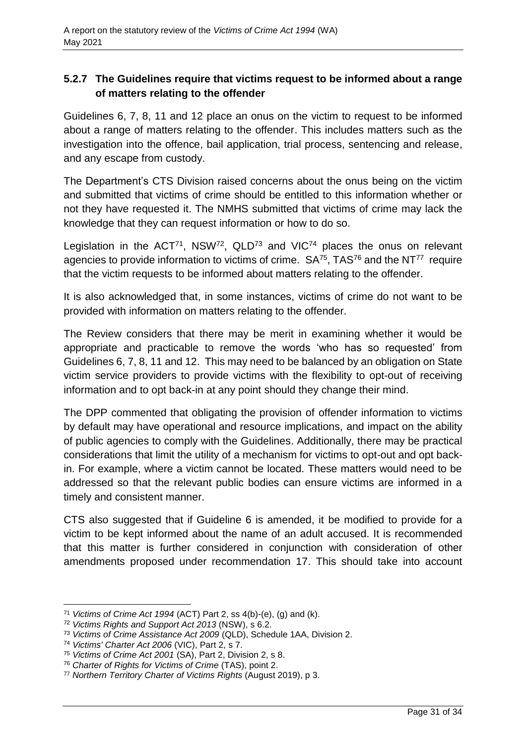## **5.2.7 The Guidelines require that victims request to be informed about a range of matters relating to the offender**

Guidelines 6, 7, 8, 11 and 12 place an onus on the victim to request to be informed about a range of matters relating to the offender. This includes matters such as the investigation into the offence, bail application, trial process, sentencing and release, and any escape from custody.

The Department's CTS Division raised concerns about the onus being on the victim and submitted that victims of crime should be entitled to this information whether or not they have requested it. The NMHS submitted that victims of crime may lack the knowledge that they can request information or how to do so.

Legislation in the ACT<sup>71</sup>, NSW<sup>72</sup>, QLD<sup>73</sup> and VIC<sup>74</sup> places the onus on relevant agencies to provide information to victims of crime.  $SA^{75}$ , TAS<sup>76</sup> and the NT<sup>77</sup> require that the victim requests to be informed about matters relating to the offender.

It is also acknowledged that, in some instances, victims of crime do not want to be provided with information on matters relating to the offender.

The Review considers that there may be merit in examining whether it would be appropriate and practicable to remove the words 'who has so requested' from Guidelines 6, 7, 8, 11 and 12. This may need to be balanced by an obligation on State victim service providers to provide victims with the flexibility to opt-out of receiving information and to opt back-in at any point should they change their mind.

The DPP commented that obligating the provision of offender information to victims by default may have operational and resource implications, and impact on the ability of public agencies to comply with the Guidelines. Additionally, there may be practical considerations that limit the utility of a mechanism for victims to opt-out and opt backin. For example, where a victim cannot be located. These matters would need to be addressed so that the relevant public bodies can ensure victims are informed in a timely and consistent manner.

CTS also suggested that if Guideline 6 is amended, it be modified to provide for a victim to be kept informed about the name of an adult accused. It is recommended that this matter is further considered in conjunction with consideration of other amendments proposed under recommendation 17. This should take into account

l <sup>71</sup> *Victims of Crime Act 1994* (ACT) Part 2, ss 4(b)-(e), (g) and (k).

<sup>72</sup> *Victims Rights and Support Act 2013* (NSW), s 6.2.

<sup>73</sup> *Victims of Crime Assistance Act 2009* (QLD), Schedule 1AA, Division 2.

<sup>74</sup> *Victims' Charter Act 2006* (VIC), Part 2, s 7.

<sup>75</sup> *Victims of Crime Act 2001* (SA), Part 2, Division 2, s 8.

<sup>76</sup> *Charter of Rights for Victims of Crime* (TAS), point 2.

<sup>77</sup> *Northern Territory Charter of Victims Rights* (August 2019), p 3.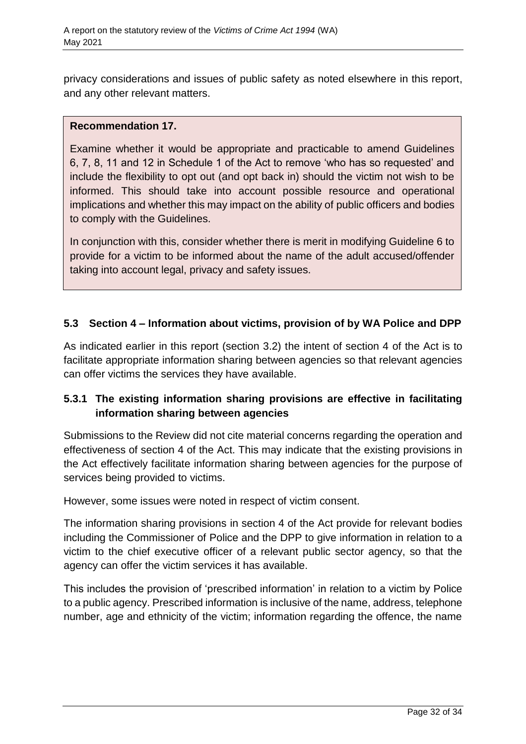privacy considerations and issues of public safety as noted elsewhere in this report, and any other relevant matters.

## **Recommendation 17.**

Examine whether it would be appropriate and practicable to amend Guidelines 6, 7, 8, 11 and 12 in Schedule 1 of the Act to remove 'who has so requested' and include the flexibility to opt out (and opt back in) should the victim not wish to be informed. This should take into account possible resource and operational implications and whether this may impact on the ability of public officers and bodies to comply with the Guidelines.

In conjunction with this, consider whether there is merit in modifying Guideline 6 to provide for a victim to be informed about the name of the adult accused/offender taking into account legal, privacy and safety issues.

## <span id="page-31-0"></span>**5.3 Section 4 – Information about victims, provision of by WA Police and DPP**

As indicated earlier in this report (section 3.2) the intent of section 4 of the Act is to facilitate appropriate information sharing between agencies so that relevant agencies can offer victims the services they have available.

## **5.3.1 The existing information sharing provisions are effective in facilitating information sharing between agencies**

Submissions to the Review did not cite material concerns regarding the operation and effectiveness of section 4 of the Act. This may indicate that the existing provisions in the Act effectively facilitate information sharing between agencies for the purpose of services being provided to victims.

However, some issues were noted in respect of victim consent.

The information sharing provisions in section 4 of the Act provide for relevant bodies including the Commissioner of Police and the DPP to give information in relation to a victim to the chief executive officer of a relevant public sector agency, so that the agency can offer the victim services it has available.

This includes the provision of 'prescribed information' in relation to a victim by Police to a public agency. Prescribed information is inclusive of the name, address, telephone number, age and ethnicity of the victim; information regarding the offence, the name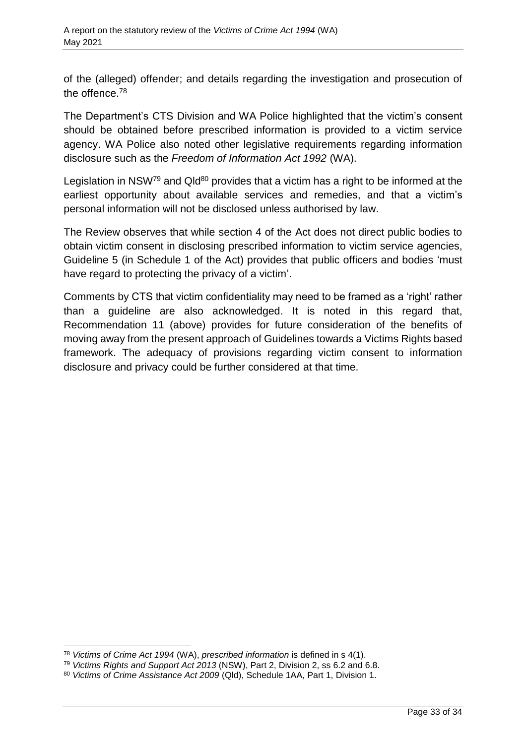of the (alleged) offender; and details regarding the investigation and prosecution of the offence.<sup>78</sup>

The Department's CTS Division and WA Police highlighted that the victim's consent should be obtained before prescribed information is provided to a victim service agency. WA Police also noted other legislative requirements regarding information disclosure such as the *Freedom of Information Act 1992* (WA).

Legislation in NSW<sup>79</sup> and Qld<sup>80</sup> provides that a victim has a right to be informed at the earliest opportunity about available services and remedies, and that a victim's personal information will not be disclosed unless authorised by law.

The Review observes that while section 4 of the Act does not direct public bodies to obtain victim consent in disclosing prescribed information to victim service agencies, Guideline 5 (in Schedule 1 of the Act) provides that public officers and bodies 'must have regard to protecting the privacy of a victim'.

Comments by CTS that victim confidentiality may need to be framed as a 'right' rather than a guideline are also acknowledged. It is noted in this regard that, Recommendation 11 (above) provides for future consideration of the benefits of moving away from the present approach of Guidelines towards a Victims Rights based framework. The adequacy of provisions regarding victim consent to information disclosure and privacy could be further considered at that time.

 $\overline{a}$ 

<sup>78</sup> *Victims of Crime Act 1994* (WA), *prescribed information* is defined in s 4(1).

<sup>79</sup> *Victims Rights and Support Act 2013* (NSW), Part 2, Division 2, ss 6.2 and 6.8.

<sup>80</sup> *Victims of Crime Assistance Act 2009* (Qld), Schedule 1AA, Part 1, Division 1.